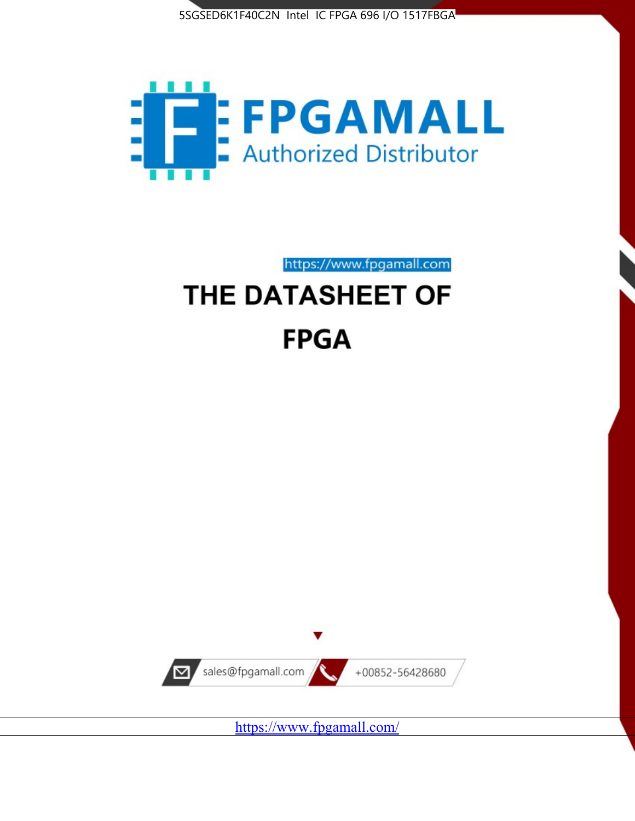



# https://www.fpgamall.com THE DATASHEET OF **FPGA**



<https://www.fpgamall.com/>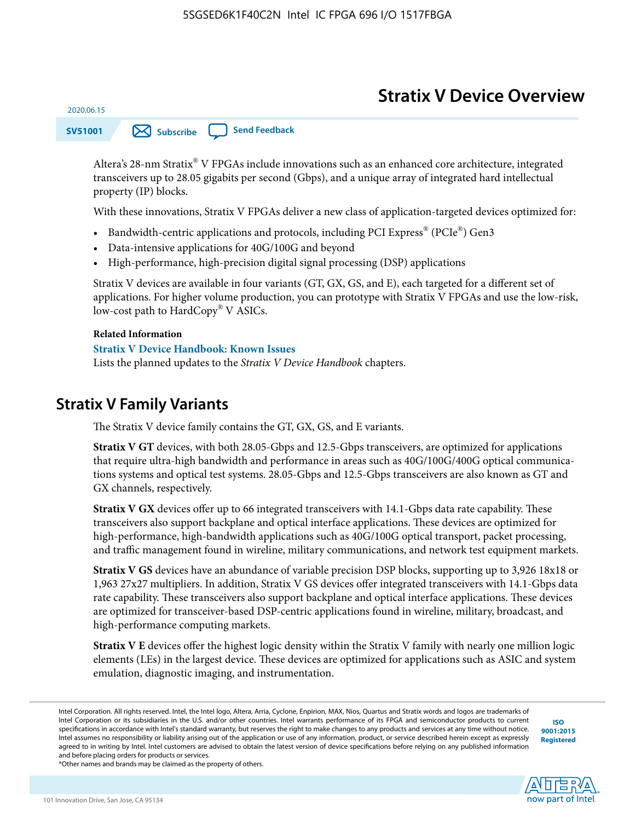# **Stratix V Device Overview**



Altera's 28-nm Stratix® V FPGAs include innovations such as an enhanced core architecture, integrated transceivers up to 28.05 gigabits per second (Gbps), and a unique array of integrated hard intellectual property (IP) blocks.

With these innovations, Stratix V FPGAs deliver a new class of application-targeted devices optimized for:

- Bandwidth-centric applications and protocols, including PCI Express® (PCIe®) Gen3
- Data-intensive applications for 40G/100G and beyond
- High-performance, high-precision digital signal processing (DSP) applications

Stratix V devices are available in four variants (GT, GX, GS, and E), each targeted for a different set of applications. For higher volume production, you can prototype with Stratix V FPGAs and use the low-risk, low-cost path to HardCopy® V ASICs.

#### **Related Information**

2020.06.15

#### **[Stratix V Device Handbook: Known Issues](http://www.altera.com/support/kdb/solutions/rd08242010_83.html)**

Lists the planned updates to the *Stratix V Device Handbook* chapters.

### **Stratix V Family Variants**

The Stratix V device family contains the GT, GX, GS, and E variants.

**Stratix V GT** devices, with both 28.05-Gbps and 12.5-Gbps transceivers, are optimized for applications that require ultra-high bandwidth and performance in areas such as 40G/100G/400G optical communica‐ tions systems and optical test systems. 28.05-Gbps and 12.5-Gbps transceivers are also known as GT and GX channels, respectively.

**Stratix V GX** devices offer up to 66 integrated transceivers with 14.1-Gbps data rate capability. These transceivers also support backplane and optical interface applications. These devices are optimized for high-performance, high-bandwidth applications such as 40G/100G optical transport, packet processing, and traffic management found in wireline, military communications, and network test equipment markets.

**Stratix V GS** devices have an abundance of variable precision DSP blocks, supporting up to 3,926 18x18 or 1,963 27x27 multipliers. In addition, Stratix V GS devices offer integrated transceivers with 14.1-Gbps data rate capability. These transceivers also support backplane and optical interface applications. These devices are optimized for transceiver-based DSP-centric applications found in wireline, military, broadcast, and high-performance computing markets.

**Stratix V E** devices offer the highest logic density within the Stratix V family with nearly one million logic elements (LEs) in the largest device. These devices are optimized for applications such as ASIC and system emulation, diagnostic imaging, and instrumentation.

**[ISO](http://www.altera.com/support/devices/reliability/certifications/rel-certifications.html) [9001:2015](http://www.altera.com/support/devices/reliability/certifications/rel-certifications.html) [Registered](http://www.altera.com/support/devices/reliability/certifications/rel-certifications.html)**

**low part of Intel** 

\*Other names and brands may be claimed as the property of others.

Intel Corporation. All rights reserved. Intel, the Intel logo, Altera, Arria, Cyclone, Enpirion, MAX, Nios, Quartus and Stratix words and logos are trademarks of Intel Corporation or its subsidiaries in the U.S. and/or other countries. Intel warrants performance of its FPGA and semiconductor products to current specifications in accordance with Intel's standard warranty, but reserves the right to make changes to any products and services at any time without notice. Intel assumes no responsibility or liability arising out of the application or use of any information, product, or service described herein except as expressly agreed to in writing by Intel. Intel customers are advised to obtain the latest version of device specifications before relying on any published information and before placing orders for products or services.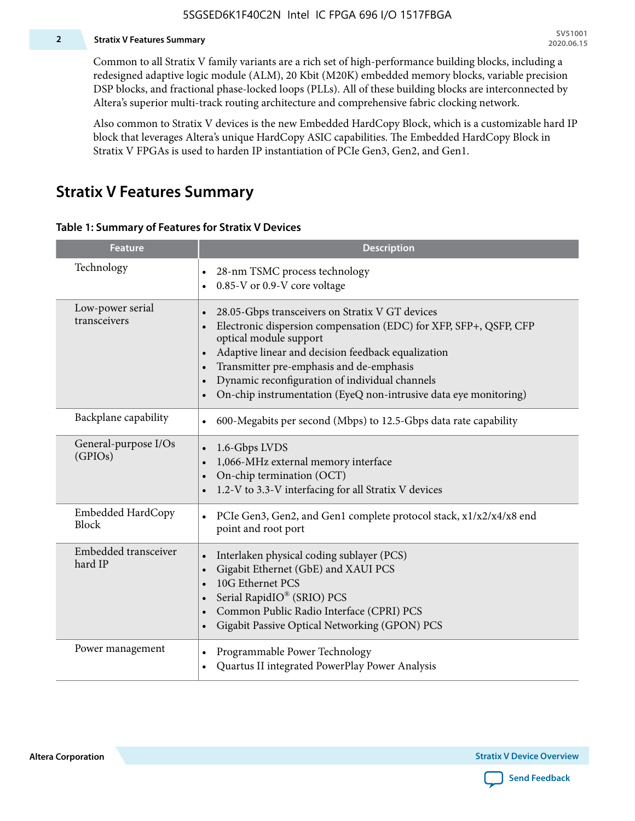#### **2 Stratix V Features Summary**

Common to all Stratix V family variants are a rich set of high-performance building blocks, including a redesigned adaptive logic module (ALM), 20 Kbit (M20K) embedded memory blocks, variable precision DSP blocks, and fractional phase-locked loops (PLLs). All of these building blocks are interconnected by Altera's superior multi-track routing architecture and comprehensive fabric clocking network.

Also common to Stratix V devices is the new Embedded HardCopy Block, which is a customizable hard IP block that leverages Altera's unique HardCopy ASIC capabilities. The Embedded HardCopy Block in Stratix V FPGAs is used to harden IP instantiation of PCIe Gen3, Gen2, and Gen1.

### **Stratix V Features Summary**

#### **Table 1: Summary of Features for Stratix V Devices**

| <b>Feature</b>                    | <b>Description</b>                                                                                                                                                                                                                                                                                                                                                                                                         |
|-----------------------------------|----------------------------------------------------------------------------------------------------------------------------------------------------------------------------------------------------------------------------------------------------------------------------------------------------------------------------------------------------------------------------------------------------------------------------|
| Technology                        | 28-nm TSMC process technology<br>0.85-V or 0.9-V core voltage                                                                                                                                                                                                                                                                                                                                                              |
| Low-power serial<br>transceivers  | 28.05-Gbps transceivers on Stratix V GT devices<br>$\bullet$<br>Electronic dispersion compensation (EDC) for XFP, SFP+, QSFP, CFP<br>optical module support<br>Adaptive linear and decision feedback equalization<br>$\bullet$<br>Transmitter pre-emphasis and de-emphasis<br>Dynamic reconfiguration of individual channels<br>$\bullet$<br>On-chip instrumentation (EyeQ non-intrusive data eye monitoring)<br>$\bullet$ |
| Backplane capability              | 600-Megabits per second (Mbps) to 12.5-Gbps data rate capability<br>$\bullet$                                                                                                                                                                                                                                                                                                                                              |
| General-purpose I/Os<br>(GPIOs)   | 1.6-Gbps LVDS<br>1,066-MHz external memory interface<br>$\bullet$<br>On-chip termination (OCT)<br>$\bullet$<br>1.2-V to 3.3-V interfacing for all Stratix V devices                                                                                                                                                                                                                                                        |
| Embedded HardCopy<br><b>Block</b> | PCIe Gen3, Gen2, and Gen1 complete protocol stack, x1/x2/x4/x8 end<br>$\bullet$<br>point and root port                                                                                                                                                                                                                                                                                                                     |
| Embedded transceiver<br>hard IP   | Interlaken physical coding sublayer (PCS)<br>$\bullet$<br>Gigabit Ethernet (GbE) and XAUI PCS<br>$\bullet$<br>10G Ethernet PCS<br>Serial RapidIO® (SRIO) PCS<br>$\bullet$<br>Common Public Radio Interface (CPRI) PCS<br>$\bullet$<br>Gigabit Passive Optical Networking (GPON) PCS<br>$\bullet$                                                                                                                           |
| Power management                  | Programmable Power Technology<br>$\bullet$<br>Quartus II integrated PowerPlay Power Analysis<br>$\bullet$                                                                                                                                                                                                                                                                                                                  |

**Altera Corporation** 

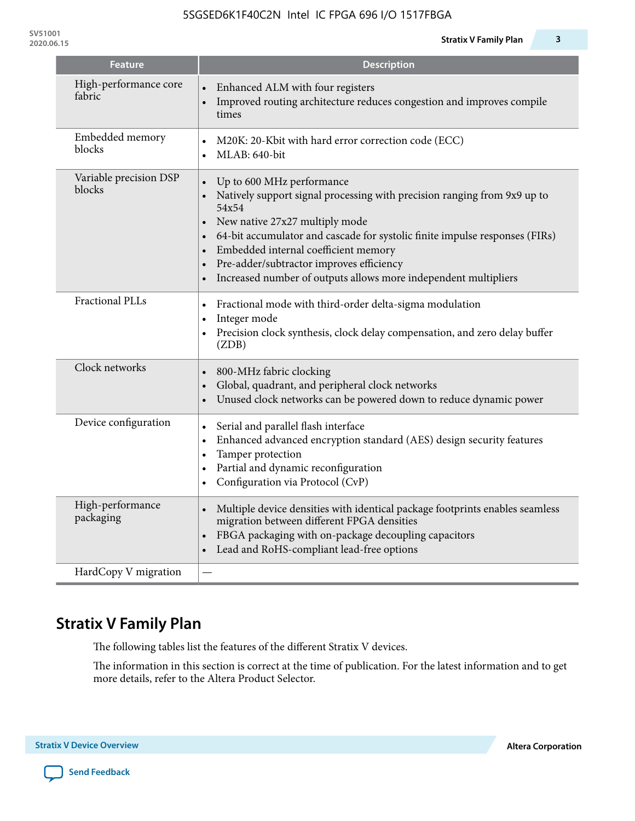**Feature Description**

| High-performance core<br>fabric  | Enhanced ALM with four registers<br>Improved routing architecture reduces congestion and improves compile<br>times                                                                                                                                                                                                                                                                                                                         |
|----------------------------------|--------------------------------------------------------------------------------------------------------------------------------------------------------------------------------------------------------------------------------------------------------------------------------------------------------------------------------------------------------------------------------------------------------------------------------------------|
| Embedded memory<br>blocks        | M20K: 20-Kbit with hard error correction code (ECC)<br>$\bullet$<br>MLAB: 640-bit<br>$\bullet$                                                                                                                                                                                                                                                                                                                                             |
| Variable precision DSP<br>blocks | Up to 600 MHz performance<br>$\bullet$<br>Natively support signal processing with precision ranging from 9x9 up to<br>54x54<br>New native 27x27 multiply mode<br>$\bullet$<br>64-bit accumulator and cascade for systolic finite impulse responses (FIRs)<br>$\bullet$<br>Embedded internal coefficient memory<br>$\bullet$<br>Pre-adder/subtractor improves efficiency<br>Increased number of outputs allows more independent multipliers |
| <b>Fractional PLLs</b>           | Fractional mode with third-order delta-sigma modulation<br>$\bullet$<br>Integer mode<br>$\bullet$<br>Precision clock synthesis, clock delay compensation, and zero delay buffer<br>(ZDB)                                                                                                                                                                                                                                                   |
| Clock networks                   | 800-MHz fabric clocking<br>Global, quadrant, and peripheral clock networks<br>Unused clock networks can be powered down to reduce dynamic power                                                                                                                                                                                                                                                                                            |
| Device configuration             | Serial and parallel flash interface<br>Enhanced advanced encryption standard (AES) design security features<br>$\bullet$<br>Tamper protection<br>$\bullet$<br>Partial and dynamic reconfiguration<br>$\bullet$<br>Configuration via Protocol (CvP)                                                                                                                                                                                         |
| High-performance<br>packaging    | Multiple device densities with identical package footprints enables seamless<br>migration between different FPGA densities<br>FBGA packaging with on-package decoupling capacitors<br>Lead and RoHS-compliant lead-free options                                                                                                                                                                                                            |
| HardCopy V migration             |                                                                                                                                                                                                                                                                                                                                                                                                                                            |

# **Stratix V Family Plan**

The following tables list the features of the different Stratix V devices.

The information in this section is correct at the time of publication. For the latest information and to get more details, refer to the Altera Product Selector.

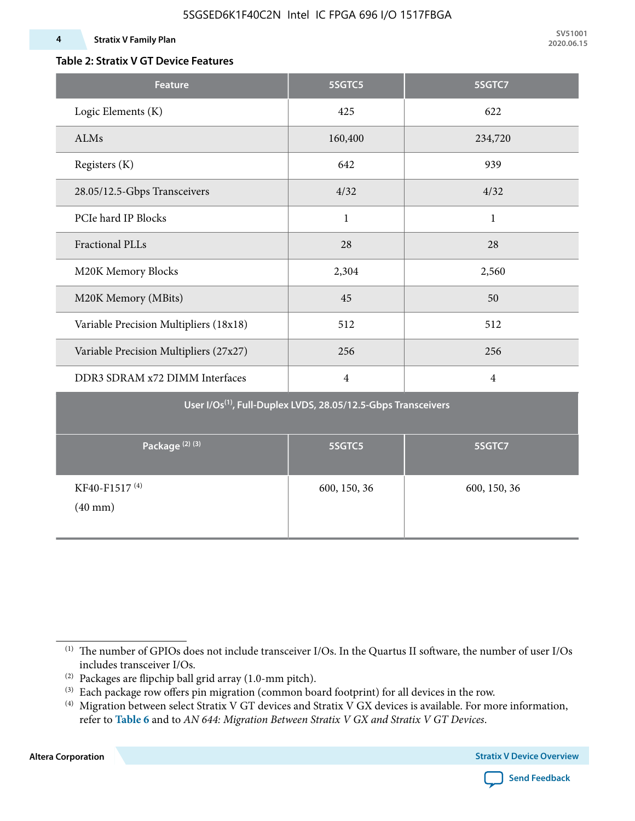#### **4 Stratix V Family Plan**

### **Table 2: Stratix V GT Device Features**

| <b>Feature</b>                                                            | 5SGTC5         | 5SGTC7         |  |  |  |  |  |  |  |
|---------------------------------------------------------------------------|----------------|----------------|--|--|--|--|--|--|--|
| Logic Elements (K)                                                        | 425            | 622            |  |  |  |  |  |  |  |
| ALMs                                                                      | 160,400        | 234,720        |  |  |  |  |  |  |  |
| Registers (K)                                                             | 642            | 939            |  |  |  |  |  |  |  |
| 28.05/12.5-Gbps Transceivers                                              | 4/32           | 4/32           |  |  |  |  |  |  |  |
| PCIe hard IP Blocks                                                       | $\mathbf{1}$   | $\mathbf{1}$   |  |  |  |  |  |  |  |
| <b>Fractional PLLs</b>                                                    | 28             | 28             |  |  |  |  |  |  |  |
| M20K Memory Blocks                                                        | 2,304          | 2,560          |  |  |  |  |  |  |  |
| M20K Memory (MBits)                                                       | 45             | 50             |  |  |  |  |  |  |  |
| Variable Precision Multipliers (18x18)                                    | 512            | 512            |  |  |  |  |  |  |  |
| Variable Precision Multipliers (27x27)                                    | 256            | 256            |  |  |  |  |  |  |  |
| DDR3 SDRAM x72 DIMM Interfaces                                            | $\overline{4}$ | $\overline{4}$ |  |  |  |  |  |  |  |
| User I/Os <sup>(1)</sup> , Full-Duplex LVDS, 28.05/12.5-Gbps Transceivers |                |                |  |  |  |  |  |  |  |
| Package <sup>(2)</sup> <sup>(3)</sup>                                     | 5SGTC5         | 5SGTC7         |  |  |  |  |  |  |  |
| KF40-F1517 <sup>(4)</sup><br>$(40$ mm $)$                                 | 600, 150, 36   | 600, 150, 36   |  |  |  |  |  |  |  |

**Altera Corporation** 



<sup>(1)</sup> The number of GPIOs does not include transceiver I/Os. In the Quartus II software, the number of user I/Os includes transceiver I/Os.

 $^{(2)}$  Packages are flipchip ball grid array (1.0-mm pitch).

<sup>(3)</sup> Each package row offers pin migration (common board footprint) for all devices in the row.

<sup>(4)</sup> Migration between select Stratix V GT devices and Stratix V GX devices is available. For more information, refer to **Table 6** and to *AN 644: Migration Between Stratix V GX and Stratix V GT Devices*.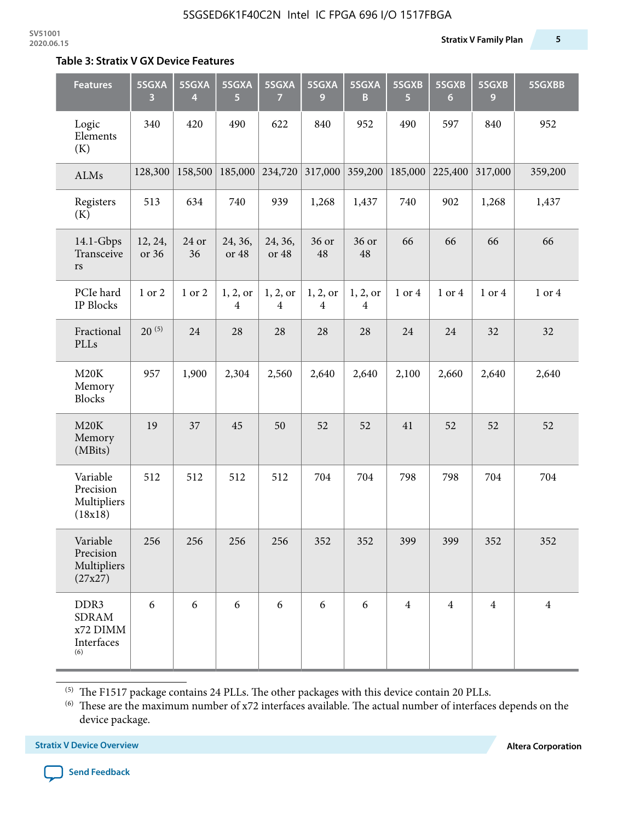#### **Table 3: Stratix V GX Device Features**

| <b>Features</b>                                       | 5SGXA<br>3       | 5SGXA<br>4  | 5SGXA<br>5.      | 5SGXA<br>7                 | 5SGXA<br>9                          | 5SGXA<br>B                          | 5SGXB<br>$\overline{5}$ | 5SGXB<br>$6\phantom{1}6$ | 5SGXB<br>9     | 5SGXBB         |
|-------------------------------------------------------|------------------|-------------|------------------|----------------------------|-------------------------------------|-------------------------------------|-------------------------|--------------------------|----------------|----------------|
| Logic<br>Elements<br>(K)                              | 340              | 420         | 490              | 622                        | 840                                 | 952                                 | 490                     | 597                      | 840            | 952            |
| ALMs                                                  | 128,300          | 158,500     | 185,000          | 234,720                    | 317,000                             | 359,200                             | 185,000                 | 225,400                  | 317,000        | 359,200        |
| Registers<br>(K)                                      | 513              | 634         | 740              | 939                        | 1,268                               | 1,437                               | 740                     | 902                      | 1,268          | 1,437          |
| 14.1-Gbps<br>Transceive<br>$\mathbf{r}\mathbf{s}$     | 12, 24,<br>or 36 | 24 or<br>36 | 24, 36,<br>or 48 | 24, 36,<br>or 48           | 36 or<br>48                         | 36 or<br>48                         | 66                      | 66                       | 66             | 66             |
| PCIe hard<br>IP Blocks                                | 1 or 2           | 1 or 2      | 1, 2, or<br>4    | 1, 2, or<br>$\overline{4}$ | 1, 2, or<br>$\overline{\mathbf{4}}$ | 1, 2, or<br>$\overline{\mathbf{4}}$ | 1 or 4                  | 1 or 4                   | 1 or 4         | 1 or 4         |
| Fractional<br>PLLs                                    | $20^{(5)}$       | 24          | 28               | 28                         | 28                                  | 28                                  | 24                      | 24                       | 32             | 32             |
| M20K<br>Memory<br><b>Blocks</b>                       | 957              | 1,900       | 2,304            | 2,560                      | 2,640                               | 2,640                               | 2,100                   | 2,660                    | 2,640          | 2,640          |
| M20K<br>Memory<br>(MBits)                             | 19               | 37          | 45               | 50                         | 52                                  | 52                                  | 41                      | 52                       | 52             | 52             |
| Variable<br>Precision<br>Multipliers<br>(18x18)       | 512              | 512         | 512              | 512                        | 704                                 | 704                                 | 798                     | 798                      | 704            | 704            |
| Variable<br>Precision<br>Multipliers<br>(27x27)       | 256              | 256         | 256              | 256                        | 352                                 | 352                                 | 399                     | 399                      | 352            | 352            |
| DDR3<br><b>SDRAM</b><br>x72 DIMM<br>Interfaces<br>(6) | 6                | 6           | 6                | 6                          | 6                                   | 6                                   | $\overline{4}$          | $\overline{4}$           | $\overline{4}$ | $\overline{4}$ |

 $^{\left(5\right)}$  The F1517 package contains 24 PLLs. The other packages with this device contain 20 PLLs.

(6) These are the maximum number of x72 interfaces available. The actual number of interfaces depends on the device package.

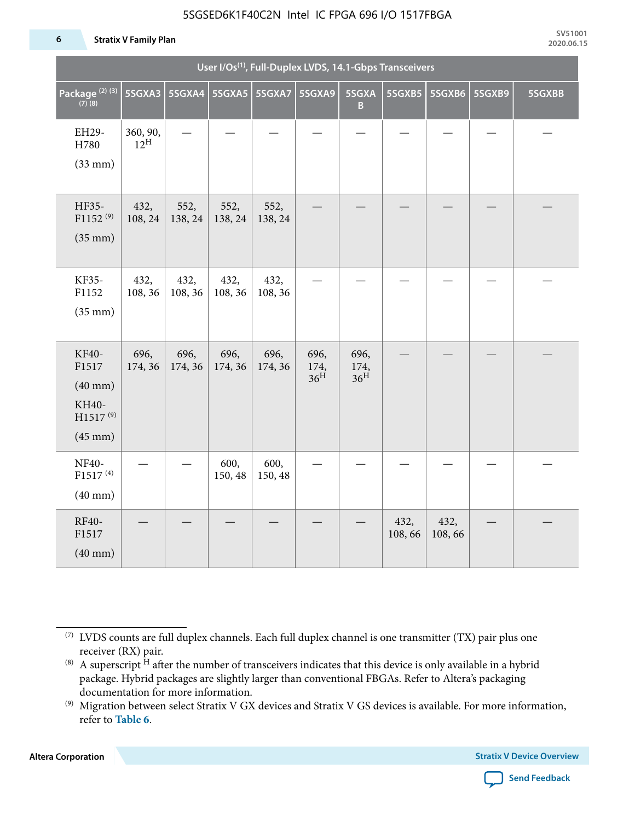#### 5SGSED6K1F40C2N Intel IC FPGA 696 I/O 1517FBGA

#### **6 Stratix V Family Plan**

|                                                                                      |                             |                 |                      |                 | User I/Os <sup>(1)</sup> , Full-Duplex LVDS, 14.1-Gbps Transceivers |                                 |                |                |        |        |
|--------------------------------------------------------------------------------------|-----------------------------|-----------------|----------------------|-----------------|---------------------------------------------------------------------|---------------------------------|----------------|----------------|--------|--------|
| Package <sup>(2)(3)</sup><br>$(7)$ (8)                                               | 5SGXA3                      |                 | 5SGXA4 5SGXA5 5SGXA7 |                 | <b>5SGXA9</b>                                                       | 5SGXA<br>B.                     | 5SGXB5         | 5SGXB6         | 5SGXB9 | 5SGXBB |
| EH29-<br>H780<br>$(33$ mm $)$                                                        | 360, 90,<br>$12^{\text{H}}$ |                 |                      |                 |                                                                     |                                 |                |                |        |        |
| HF35-<br>F1152 <sup>(9)</sup><br>$(35$ mm $)$                                        | 432,<br>108, 24             | 552,<br>138, 24 | 552,<br>138, 24      | 552,<br>138, 24 |                                                                     |                                 |                |                |        |        |
| KF35-<br>F1152<br>$(35 \text{ mm})$                                                  | 432,<br>108, 36             | 432,<br>108, 36 | 432,<br>108, 36      | 432,<br>108, 36 |                                                                     |                                 |                |                |        |        |
| KF40-<br>F1517<br>$(40$ mm $)$<br>KH40-<br>H1517 <sup>(9)</sup><br>$(45 \text{ mm})$ | 696,<br>174, 36             | 696,<br>174, 36 | 696,<br>174, 36      | 696,<br>174, 36 | 696,<br>174,<br>36 <sup>H</sup>                                     | 696,<br>174,<br>36 <sup>H</sup> |                |                |        |        |
| NF40-<br>F1517 <sup>(4)</sup><br>$(40 \text{ mm})$                                   |                             |                 | 600,<br>150, 48      | 600,<br>150, 48 |                                                                     |                                 |                |                |        |        |
| RF40-<br>F1517<br>$(40 \text{ mm})$                                                  |                             |                 |                      |                 |                                                                     |                                 | 432,<br>108,66 | 432,<br>108,66 |        |        |

**Altera Corporation** 



<sup>(7)</sup> LVDS counts are full duplex channels. Each full duplex channel is one transmitter (TX) pair plus one receiver (RX) pair.

<sup>(8)</sup> A superscript  $H$  after the number of transceivers indicates that this device is only available in a hybrid package. Hybrid packages are slightly larger than conventional FBGAs. Refer to Altera's packaging documentation for more information.

<sup>(9)</sup> Migration between select Stratix V GX devices and Stratix V GS devices is available. For more information, refer to **Table 6**.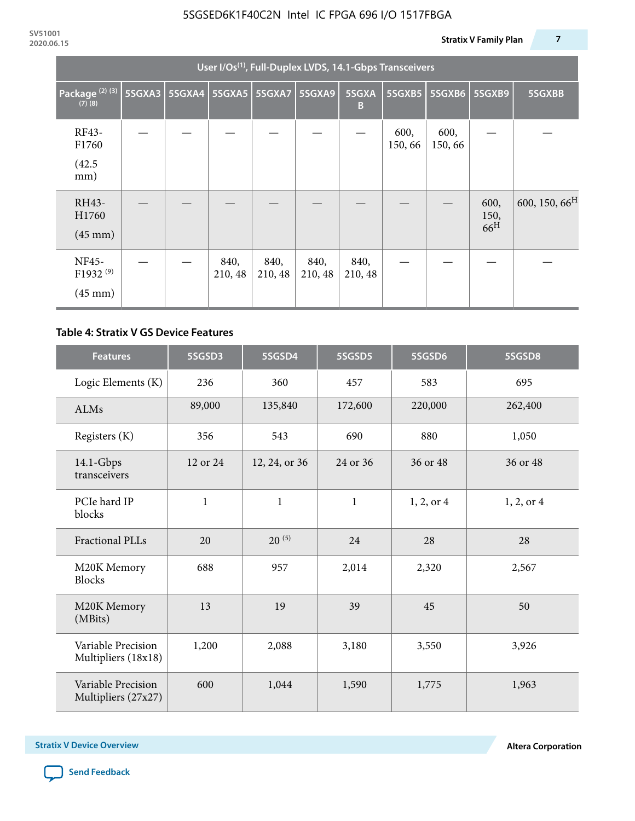|                                                    | User I/Os <sup>(1)</sup> , Full-Duplex LVDS, 14.1-Gbps Transceivers |  |                 |                          |                 |                 |                |                |                                 |                           |  |  |
|----------------------------------------------------|---------------------------------------------------------------------|--|-----------------|--------------------------|-----------------|-----------------|----------------|----------------|---------------------------------|---------------------------|--|--|
| Package <sup>(2)(3)</sup><br>$(7)$ $(8)$           | 5SGXA3                                                              |  |                 | 5SGXA4   5SGXA5   5SGXA7 | <b>5SGXA9</b>   | 5SGXA<br>B      | 5SGXB5         | <b>5SGXB6</b>  | 5SGXB9                          | 5SGXBB                    |  |  |
| RF43-<br>F1760<br>(42.5)<br>mm)                    |                                                                     |  |                 |                          |                 |                 | 600,<br>150,66 | 600,<br>150,66 |                                 |                           |  |  |
| RH43-<br>H1760<br>$(45 \text{ mm})$                |                                                                     |  |                 |                          |                 |                 |                |                | 600,<br>150,<br>66 <sup>H</sup> | 600, 150, 66 <sup>H</sup> |  |  |
| NF45-<br>F1932 <sup>(9)</sup><br>$(45 \text{ mm})$ |                                                                     |  | 840,<br>210, 48 | 840,<br>210, 48          | 840,<br>210, 48 | 840,<br>210, 48 |                |                |                                 |                           |  |  |

#### **Table 4: Stratix V GS Device Features**

| <b>Features</b>                           | 5SGSD3           | 5SGSD4        | 5SGSD5       | 5SGSD6     | 5SGSD8     |
|-------------------------------------------|------------------|---------------|--------------|------------|------------|
| Logic Elements (K)                        | 236              | 360           | 457          | 583        | 695        |
| <b>ALMs</b>                               | 89,000           | 135,840       | 172,600      | 220,000    | 262,400    |
| Registers (K)                             | 356              | 543           | 690<br>880   |            | 1,050      |
| $14.1$ -Gbps<br>transceivers              | 12 or 24         | 12, 24, or 36 | 24 or 36     | 36 or 48   | 36 or 48   |
| PCIe hard IP<br>blocks                    | $\mathbf 1$      | $\mathbf{1}$  | $\mathbf{1}$ | 1, 2, or 4 | 1, 2, or 4 |
| Fractional PLLs                           | $20^{(5)}$<br>20 |               | 24           | 28         | 28         |
| M20K Memory<br><b>Blocks</b>              | 688              |               | 2,014        | 2,320      | 2,567      |
| M20K Memory<br>(MBits)                    | 13               | 19            | 39           | 45         | 50         |
| Variable Precision<br>Multipliers (18x18) | 1,200<br>2,088   |               | 3,180        | 3,550      | 3,926      |
| Variable Precision<br>Multipliers (27x27) | 600              | 1,044         | 1,590        | 1,775      | 1,963      |

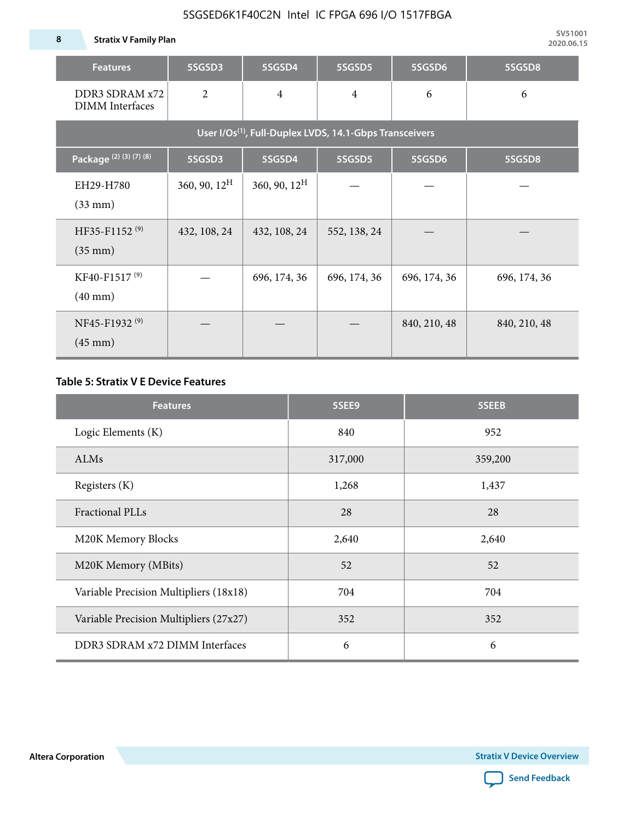**8 Stratix V Family Plan**

| <b>Features</b>                                                     | 5SGSD3          | 5SGSD4                   | 5SGSD5         | 5SGSD6       | 5SGSD8       |  |  |  |  |  |  |
|---------------------------------------------------------------------|-----------------|--------------------------|----------------|--------------|--------------|--|--|--|--|--|--|
| DDR3 SDRAM x72<br><b>DIMM</b> Interfaces                            | $\overline{2}$  | $\overline{4}$           | $\overline{4}$ | 6            | 6            |  |  |  |  |  |  |
| User I/Os <sup>(1)</sup> , Full-Duplex LVDS, 14.1-Gbps Transceivers |                 |                          |                |              |              |  |  |  |  |  |  |
| Package (2) (3) (7) (8)                                             | 5SGSD3          | 5SGSD4                   | 5SGSD5         | 5SGSD6       | 5SGSD8       |  |  |  |  |  |  |
| EH29-H780<br>$(33$ mm $)$                                           | 360, 90, $12^H$ | $360, 90, 12^{\text{H}}$ |                |              |              |  |  |  |  |  |  |
| HF35-F1152 <sup>(9)</sup><br>$(35 \text{ mm})$                      | 432, 108, 24    | 432, 108, 24             | 552, 138, 24   |              |              |  |  |  |  |  |  |
| KF40-F1517 <sup>(9)</sup><br>$(40 \text{ mm})$                      |                 | 696, 174, 36             | 696, 174, 36   | 696, 174, 36 | 696, 174, 36 |  |  |  |  |  |  |
| NF45-F1932 <sup>(9)</sup><br>$(45 \text{ mm})$                      |                 |                          |                | 840, 210, 48 | 840, 210, 48 |  |  |  |  |  |  |

#### **Table 5: Stratix V E Device Features**

| <b>Features</b>                        | 5SEE9   | 5SEEB   |
|----------------------------------------|---------|---------|
| Logic Elements (K)                     | 840     | 952     |
| <b>ALMs</b>                            | 317,000 | 359,200 |
| Registers (K)                          | 1,268   | 1,437   |
| <b>Fractional PLLs</b>                 | 28      | 28      |
| M20K Memory Blocks                     | 2,640   | 2,640   |
| M20K Memory (MBits)                    | 52      | 52      |
| Variable Precision Multipliers (18x18) | 704     | 704     |
| Variable Precision Multipliers (27x27) | 352     | 352     |
| DDR3 SDRAM x72 DIMM Interfaces         | 6       | 6       |

**Altera Corporation** 

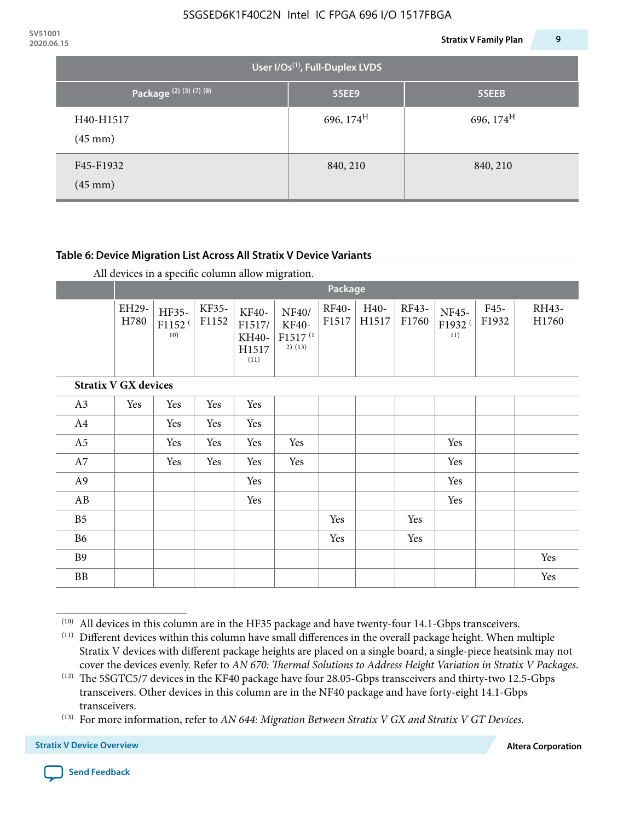| 2020.06.15 |                                                                     |                                             | <b>Stratix V Family Plan</b> | 9 |
|------------|---------------------------------------------------------------------|---------------------------------------------|------------------------------|---|
|            |                                                                     | User I/Os <sup>(1)</sup> , Full-Duplex LVDS |                              |   |
|            | Package <sup>(2)</sup> <sup>(3)</sup> <sup>(7)</sup> <sup>(8)</sup> | 5SEE9                                       | 5SEEB                        |   |
|            | H40-H1517<br>$(45 \text{ mm})$                                      | 696, $174^H$                                | 696, $174^{\text{H}}$        |   |
|            | F45-F1932<br>$(45 \text{ mm})$                                      | 840, 210                                    | 840, 210                     |   |

### **Table 6: Device Migration List Across All Stratix V Device Variants**

|                             |               | Package                            |                |                                           |                                                           |                |               |                |                                    |               |                |  |
|-----------------------------|---------------|------------------------------------|----------------|-------------------------------------------|-----------------------------------------------------------|----------------|---------------|----------------|------------------------------------|---------------|----------------|--|
|                             | EH29-<br>H780 | HF35-<br>F1152 <sup>(</sup><br>10) | KF35-<br>F1152 | KF40-<br>F1517/<br>KH40-<br>H1517<br>(11) | NF40/<br><b>KF40-</b><br>F1517 <sup>(1</sup><br>$2)$ (13) | RF40-<br>F1517 | H40-<br>H1517 | RF43-<br>F1760 | NF45-<br>F1932 <sup>(</sup><br>11) | F45-<br>F1932 | RH43-<br>H1760 |  |
| <b>Stratix V GX devices</b> |               |                                    |                |                                           |                                                           |                |               |                |                                    |               |                |  |
| A3                          | Yes           | Yes                                | Yes            | Yes                                       |                                                           |                |               |                |                                    |               |                |  |
| A4                          |               | Yes                                | Yes            | Yes                                       |                                                           |                |               |                |                                    |               |                |  |
| A <sub>5</sub>              |               | Yes                                | Yes            | Yes                                       | Yes                                                       |                |               |                | Yes                                |               |                |  |
| A7                          |               | Yes                                | Yes            | Yes                                       | Yes                                                       |                |               |                | Yes                                |               |                |  |
| A9                          |               |                                    |                | Yes                                       |                                                           |                |               |                | Yes                                |               |                |  |
| AB                          |               |                                    |                | Yes                                       |                                                           |                |               |                | Yes                                |               |                |  |
| B <sub>5</sub>              |               |                                    |                |                                           |                                                           | Yes            |               | Yes            |                                    |               |                |  |
| B6                          |               |                                    |                |                                           |                                                           | Yes            |               | Yes            |                                    |               |                |  |
| <b>B9</b>                   |               |                                    |                |                                           |                                                           |                |               |                |                                    |               | Yes            |  |
| <b>BB</b>                   |               |                                    |                |                                           |                                                           |                |               |                |                                    |               | Yes            |  |

 $(10)$  All devices in this column are in the HF35 package and have twenty-four 14.1-Gbps transceivers.



<sup>(11)</sup> Different devices within this column have small differences in the overall package height. When multiple Stratix V devices with different package heights are placed on a single board, a single-piece heatsink may not cover the devices evenly. Refer to *AN 670: Thermal Solutions to Address Height Variation in Stratix V Packages*.

<sup>(12)</sup> The 5SGTC5/7 devices in the KF40 package have four 28.05-Gbps transceivers and thirty-two 12.5-Gbps transceivers. Other devices in this column are in the NF40 package and have forty-eight 14.1-Gbps transceivers.

<sup>(13)</sup> For more information, refer to *AN 644: Migration Between Stratix V GX and Stratix V GT Devices*.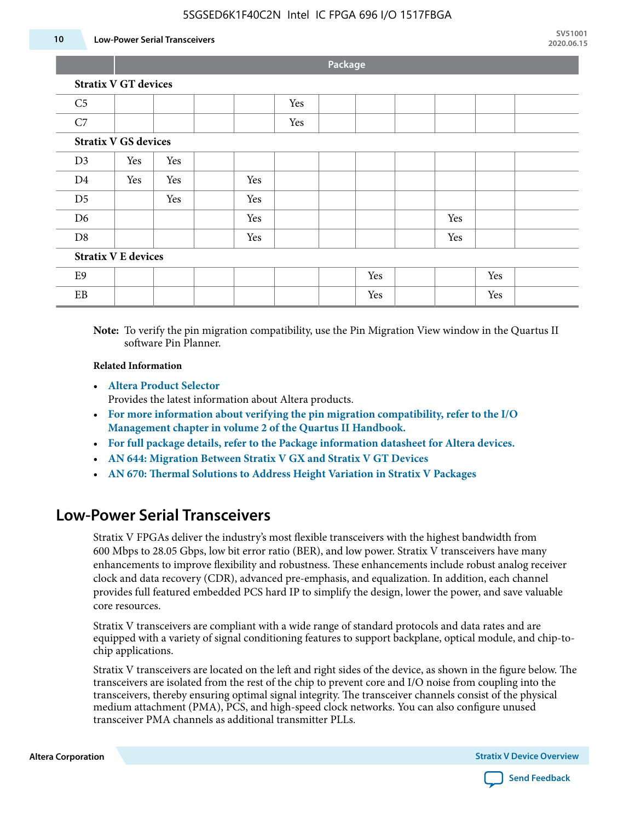#### 5SGSED6K1F40C2N Intel IC FPGA 696 I/O 1517FBGA

#### **10 Low-Power Serial Transceivers**

**Package**

| <b>Stratix V GT devices</b> |     |     |     |     |  |     |
|-----------------------------|-----|-----|-----|-----|--|-----|
| C <sub>5</sub>              |     |     |     | Yes |  |     |
| C7                          |     |     |     | Yes |  |     |
| <b>Stratix V GS devices</b> |     |     |     |     |  |     |
| D <sub>3</sub>              | Yes | Yes |     |     |  |     |
| D4                          | Yes | Yes | Yes |     |  |     |
| D <sub>5</sub>              |     | Yes | Yes |     |  |     |
| D6                          |     |     | Yes |     |  | Yes |

D8 | | | Yes | | | Yes | | | | Yes

#### **Stratix V E devices**

| E <sub>O</sub><br>ヒソ |  |  |  | Yes |  | Yes |  |
|----------------------|--|--|--|-----|--|-----|--|
| EB                   |  |  |  | Yes |  | Yes |  |

**Note:** To verify the pin migration compatibility, use the Pin Migration View window in the Quartus II software Pin Planner.

#### **Related Information**

• **[Altera Product Selector](http://www.altera.com/products/selector/psg-selector.html#)**

Provides the latest information about Altera products.

- **[For more information about verifying the pin migration compatibility, refer to the I/O](http://www.altera.com/literature/hb/qts/qts_qii52013.pdf) [Management chapter in volume 2 of the Quartus II Handbook.](http://www.altera.com/literature/hb/qts/qts_qii52013.pdf)**
- **[For full package details, refer to the Package information datasheet for Altera devices.](http://www.altera.com/support/devices/packaging/specifications/pkg-pin/spe-index.jsp)**
- **[AN 644: Migration Between Stratix V GX and Stratix V GT Devices](http://www.altera.com/literature/an/an644.pdf)**
- **[AN 670: Thermal Solutions to Address Height Variation in Stratix V Packages](http://www.altera.com/literature/an/an670.pdf)**

### **Low-Power Serial Transceivers**

Stratix V FPGAs deliver the industry's most flexible transceivers with the highest bandwidth from 600 Mbps to 28.05 Gbps, low bit error ratio (BER), and low power. Stratix V transceivers have many enhancements to improve flexibility and robustness. These enhancements include robust analog receiver clock and data recovery (CDR), advanced pre-emphasis, and equalization. In addition, each channel provides full featured embedded PCS hard IP to simplify the design, lower the power, and save valuable core resources.

Stratix V transceivers are compliant with a wide range of standard protocols and data rates and are equipped with a variety of signal conditioning features to support backplane, optical module, and chip-tochip applications.

Stratix V transceivers are located on the left and right sides of the device, as shown in the figure below. The transceivers are isolated from the rest of the chip to prevent core and I/O noise from coupling into the transceivers, thereby ensuring optimal signal integrity. The transceiver channels consist of the physical medium attachment (PMA), PCS, and high-speed clock networks. You can also configure unused transceiver PMA channels as additional transmitter PLLs.

**Altera Corporation Stratix V Device Overview**

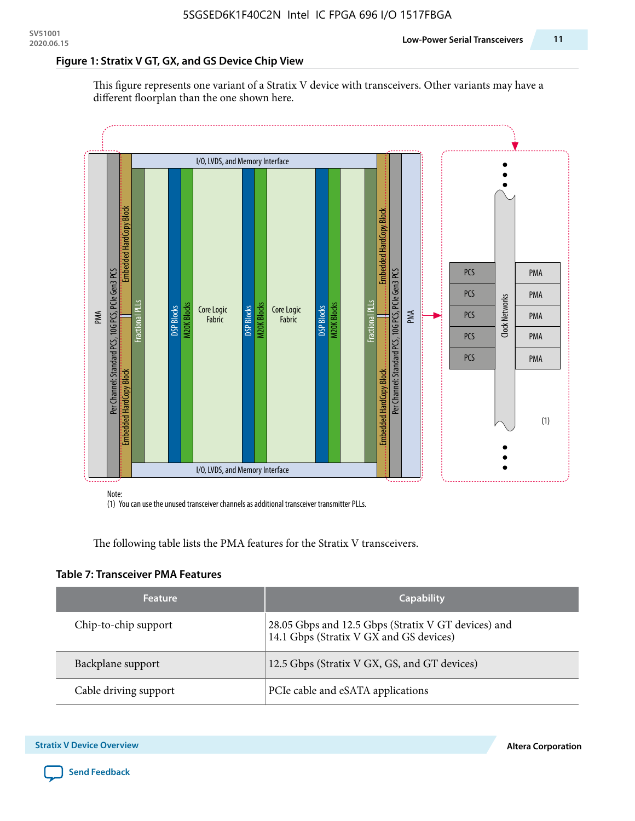#### **Figure 1: Stratix V GT, GX, and GS Device Chip View**

This figure represents one variant of a Stratix V device with transceivers. Other variants may have a different floorplan than the one shown here.



(1) You can use the unused transceiver channels as additional transceiver transmitter PLLs.

The following table lists the PMA features for the Stratix V transceivers.

#### **Table 7: Transceiver PMA Features**

| <b>Feature</b>        | <b>Capability</b>                                                                              |
|-----------------------|------------------------------------------------------------------------------------------------|
| Chip-to-chip support  | 28.05 Gbps and 12.5 Gbps (Stratix V GT devices) and<br>14.1 Gbps (Stratix V GX and GS devices) |
| Backplane support     | 12.5 Gbps (Stratix V GX, GS, and GT devices)                                                   |
| Cable driving support | PCIe cable and eSATA applications                                                              |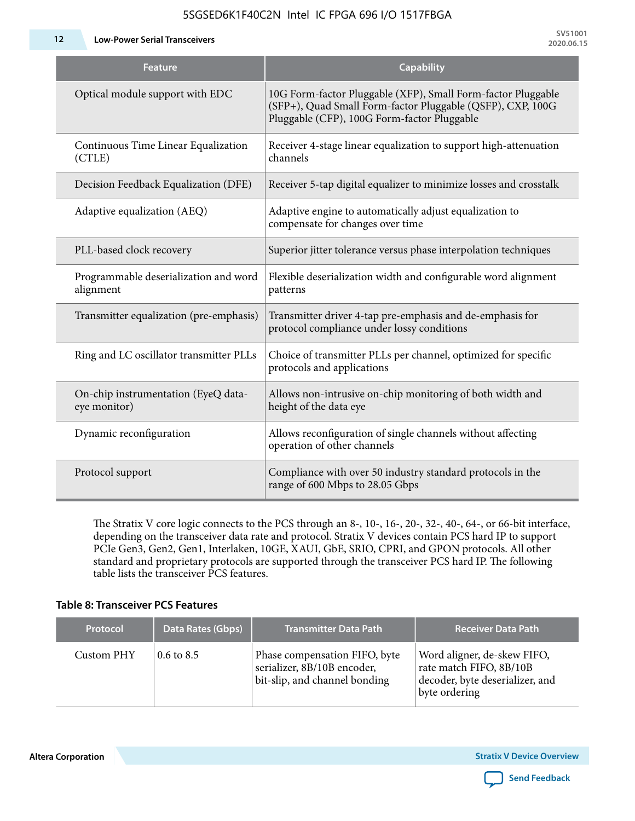| <b>Feature</b>                                      | <b>Capability</b>                                                                                                                                                         |
|-----------------------------------------------------|---------------------------------------------------------------------------------------------------------------------------------------------------------------------------|
| Optical module support with EDC                     | 10G Form-factor Pluggable (XFP), Small Form-factor Pluggable<br>(SFP+), Quad Small Form-factor Pluggable (QSFP), CXP, 100G<br>Pluggable (CFP), 100G Form-factor Pluggable |
| Continuous Time Linear Equalization<br>(CTLE)       | Receiver 4-stage linear equalization to support high-attenuation<br>channels                                                                                              |
| Decision Feedback Equalization (DFE)                | Receiver 5-tap digital equalizer to minimize losses and crosstalk                                                                                                         |
| Adaptive equalization (AEQ)                         | Adaptive engine to automatically adjust equalization to<br>compensate for changes over time                                                                               |
| PLL-based clock recovery                            | Superior jitter tolerance versus phase interpolation techniques                                                                                                           |
| Programmable deserialization and word<br>alignment  | Flexible deserialization width and configurable word alignment<br>patterns                                                                                                |
| Transmitter equalization (pre-emphasis)             | Transmitter driver 4-tap pre-emphasis and de-emphasis for<br>protocol compliance under lossy conditions                                                                   |
| Ring and LC oscillator transmitter PLLs             | Choice of transmitter PLLs per channel, optimized for specific<br>protocols and applications                                                                              |
| On-chip instrumentation (EyeQ data-<br>eye monitor) | Allows non-intrusive on-chip monitoring of both width and<br>height of the data eye                                                                                       |
| Dynamic reconfiguration                             | Allows reconfiguration of single channels without affecting<br>operation of other channels                                                                                |
| Protocol support                                    | Compliance with over 50 industry standard protocols in the<br>range of 600 Mbps to 28.05 Gbps                                                                             |

5SGSED6K1F40C2N Intel IC FPGA 696 I/O 1517FBGA

The Stratix V core logic connects to the PCS through an 8-, 10-, 16-, 20-, 32-, 40-, 64-, or 66-bit interface, depending on the transceiver data rate and protocol. Stratix V devices contain PCS hard IP to support PCIe Gen3, Gen2, Gen1, Interlaken, 10GE, XAUI, GbE, SRIO, CPRI, and GPON protocols. All other standard and proprietary protocols are supported through the transceiver PCS hard IP. The following table lists the transceiver PCS features.

#### **Table 8: Transceiver PCS Features**

| <b>Protocol</b> | Data Rates (Gbps)     | <b>Transmitter Data Path</b>                                                                  | <b>Receiver Data Path</b>                                                                                  |
|-----------------|-----------------------|-----------------------------------------------------------------------------------------------|------------------------------------------------------------------------------------------------------------|
| Custom PHY      | $0.6 \text{ to } 8.5$ | Phase compensation FIFO, byte<br>serializer, 8B/10B encoder,<br>bit-slip, and channel bonding | Word aligner, de-skew FIFO,<br>rate match FIFO, 8B/10B<br>decoder, byte deserializer, and<br>byte ordering |

**Altera Corporation** 

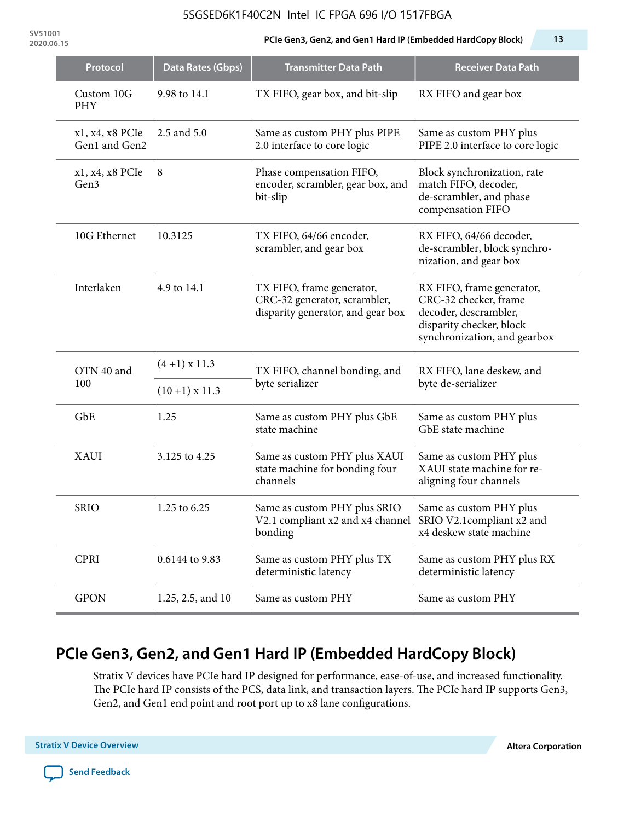#### 5SGSED6K1F40C2N Intel IC FPGA 696 I/O 1517FBGA

**SV51001**

#### **2020.06.15 PCIe Gen3, Gen2, and Gen1 Hard IP (Embedded HardCopy Block) 13**

| Protocol                         | <b>Data Rates (Gbps)</b> | <b>Transmitter Data Path</b>                                                                           | <b>Receiver Data Path</b>                                                                                                               |  |  |
|----------------------------------|--------------------------|--------------------------------------------------------------------------------------------------------|-----------------------------------------------------------------------------------------------------------------------------------------|--|--|
| Custom 10G<br><b>PHY</b>         | 9.98 to 14.1             | TX FIFO, gear box, and bit-slip                                                                        | RX FIFO and gear box                                                                                                                    |  |  |
| x1, x4, x8 PCIe<br>Gen1 and Gen2 | 2.5 and 5.0              | Same as custom PHY plus PIPE<br>2.0 interface to core logic                                            | Same as custom PHY plus<br>PIPE 2.0 interface to core logic                                                                             |  |  |
| x1, x4, x8 PCIe<br>Gen3          | 8                        | Phase compensation FIFO,<br>encoder, scrambler, gear box, and<br>bit-slip                              | Block synchronization, rate<br>match FIFO, decoder,<br>de-scrambler, and phase<br>compensation FIFO                                     |  |  |
| 10G Ethernet                     | 10.3125                  | TX FIFO, 64/66 encoder,<br>scrambler, and gear box                                                     | RX FIFO, 64/66 decoder,<br>de-scrambler, block synchro-<br>nization, and gear box                                                       |  |  |
| Interlaken                       | 4.9 to 14.1              | TX FIFO, frame generator,<br>CRC-32 generator, scrambler,<br>disparity generator, and gear box         | RX FIFO, frame generator,<br>CRC-32 checker, frame<br>decoder, descrambler,<br>disparity checker, block<br>synchronization, and gearbox |  |  |
| OTN 40 and                       | $(4+1)$ x 11.3           | TX FIFO, channel bonding, and                                                                          | RX FIFO, lane deskew, and                                                                                                               |  |  |
| 100                              | $(10+1)$ x 11.3          | byte serializer                                                                                        | byte de-serializer                                                                                                                      |  |  |
| GbE                              | 1.25                     | Same as custom PHY plus GbE<br>state machine                                                           | Same as custom PHY plus<br>GbE state machine                                                                                            |  |  |
| <b>XAUI</b>                      | 3.125 to 4.25            | Same as custom PHY plus XAUI<br>state machine for bonding four<br>channels                             | Same as custom PHY plus<br>XAUI state machine for re-<br>aligning four channels                                                         |  |  |
| <b>SRIO</b>                      | 1.25 to 6.25             | Same as custom PHY plus SRIO<br>V2.1 compliant x2 and x4 channel SRIO V2.1 compliant x2 and<br>bonding | Same as custom PHY plus<br>x4 deskew state machine                                                                                      |  |  |
| <b>CPRI</b>                      | 0.6144 to 9.83           | Same as custom PHY plus TX<br>deterministic latency                                                    | Same as custom PHY plus RX<br>deterministic latency                                                                                     |  |  |
| <b>GPON</b>                      | 1.25, 2.5, and 10        | Same as custom PHY                                                                                     | Same as custom PHY                                                                                                                      |  |  |

# **PCIe Gen3, Gen2, and Gen1 Hard IP (Embedded HardCopy Block)**

Stratix V devices have PCIe hard IP designed for performance, ease-of-use, and increased functionality. The PCIe hard IP consists of the PCS, data link, and transaction layers. The PCIe hard IP supports Gen3, Gen2, and Gen1 end point and root port up to x8 lane configurations.

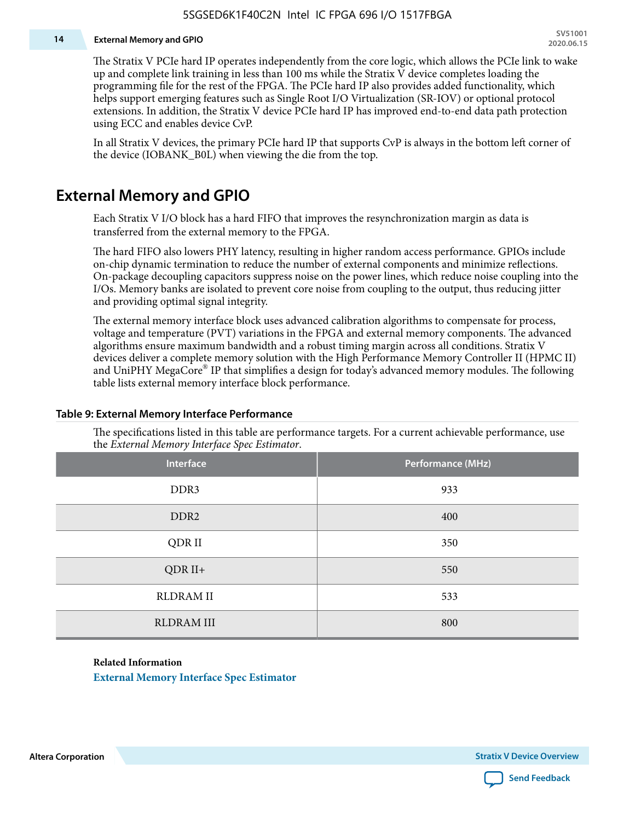#### **14 External Memory and GPIO**

The Stratix V PCIe hard IP operates independently from the core logic, which allows the PCIe link to wake up and complete link training in less than 100 ms while the Stratix V device completes loading the programming file for the rest of the FPGA. The PCIe hard IP also provides added functionality, which helps support emerging features such as Single Root I/O Virtualization (SR-IOV) or optional protocol extensions. In addition, the Stratix V device PCIe hard IP has improved end-to-end data path protection using ECC and enables device CvP.

In all Stratix V devices, the primary PCIe hard IP that supports CvP is always in the bottom left corner of the device (IOBANK\_B0L) when viewing the die from the top.

### **External Memory and GPIO**

Each Stratix V I/O block has a hard FIFO that improves the resynchronization margin as data is transferred from the external memory to the FPGA.

The hard FIFO also lowers PHY latency, resulting in higher random access performance. GPIOs include on-chip dynamic termination to reduce the number of external components and minimize reflections. On-package decoupling capacitors suppress noise on the power lines, which reduce noise coupling into the I/Os. Memory banks are isolated to prevent core noise from coupling to the output, thus reducing jitter and providing optimal signal integrity.

The external memory interface block uses advanced calibration algorithms to compensate for process, voltage and temperature (PVT) variations in the FPGA and external memory components. The advanced algorithms ensure maximum bandwidth and a robust timing margin across all conditions. Stratix V devices deliver a complete memory solution with the High Performance Memory Controller II (HPMC II) and UniPHY MegaCore® IP that simplifies a design for today's advanced memory modules. The following table lists external memory interface block performance.

| Interface         | Performance (MHz) |
|-------------------|-------------------|
| DDR3              | 933               |
| DDR <sub>2</sub>  | 400               |
| QDR II            | 350               |
| $QDR II+$         | 550               |
| <b>RLDRAM II</b>  | 533               |
| <b>RLDRAM III</b> | 800               |

#### **Table 9: External Memory Interface Performance**

The specifications listed in this table are performance targets. For a current achievable performance, use the *External Memory Interface Spec Estimator*.

#### **Related Information**

**[External Memory Interface Spec Estimator](http://www.altera.com/technology/memory/estimator/mem-emif-index.html)**

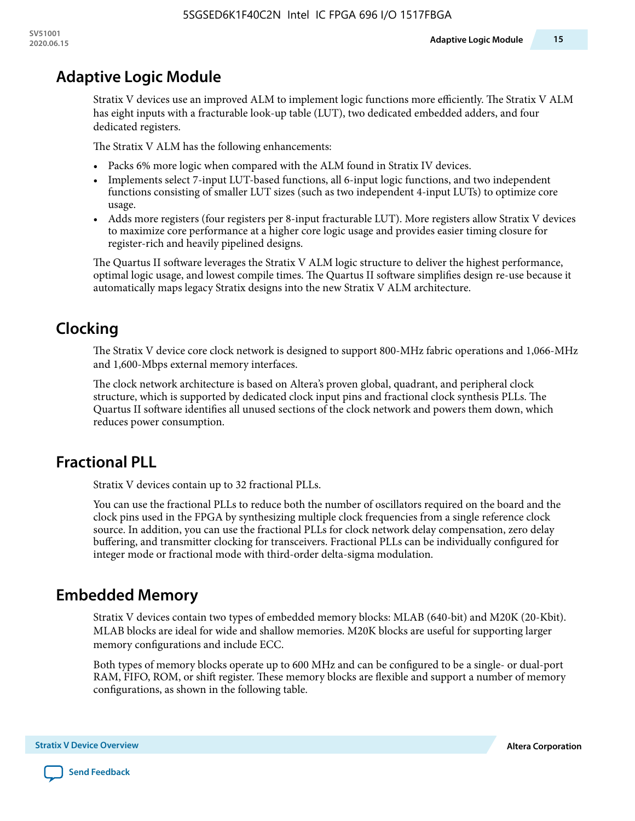## **Adaptive Logic Module**

Stratix V devices use an improved ALM to implement logic functions more efficiently. The Stratix V ALM has eight inputs with a fracturable look-up table (LUT), two dedicated embedded adders, and four dedicated registers.

The Stratix V ALM has the following enhancements:

- Packs 6% more logic when compared with the ALM found in Stratix IV devices.
- Implements select 7-input LUT-based functions, all 6-input logic functions, and two independent functions consisting of smaller LUT sizes (such as two independent 4-input LUTs) to optimize core usage.
- Adds more registers (four registers per 8-input fracturable LUT). More registers allow Stratix V devices to maximize core performance at a higher core logic usage and provides easier timing closure for register-rich and heavily pipelined designs.

The Quartus II software leverages the Stratix V ALM logic structure to deliver the highest performance, optimal logic usage, and lowest compile times. The Quartus II software simplifies design re-use because it automatically maps legacy Stratix designs into the new Stratix V ALM architecture.

## **Clocking**

The Stratix V device core clock network is designed to support 800-MHz fabric operations and 1,066-MHz and 1,600-Mbps external memory interfaces.

The clock network architecture is based on Altera's proven global, quadrant, and peripheral clock structure, which is supported by dedicated clock input pins and fractional clock synthesis PLLs. The Quartus II software identifies all unused sections of the clock network and powers them down, which reduces power consumption.

### **Fractional PLL**

Stratix V devices contain up to 32 fractional PLLs.

You can use the fractional PLLs to reduce both the number of oscillators required on the board and the clock pins used in the FPGA by synthesizing multiple clock frequencies from a single reference clock source. In addition, you can use the fractional PLLs for clock network delay compensation, zero delay buffering, and transmitter clocking for transceivers. Fractional PLLs can be individually configured for integer mode or fractional mode with third-order delta-sigma modulation.

### **Embedded Memory**

Stratix V devices contain two types of embedded memory blocks: MLAB (640-bit) and M20K (20-Kbit). MLAB blocks are ideal for wide and shallow memories. M20K blocks are useful for supporting larger memory configurations and include ECC.

Both types of memory blocks operate up to 600 MHz and can be configured to be a single- or dual-port RAM, FIFO, ROM, or shift register. These memory blocks are flexible and support a number of memory configurations, as shown in the following table.

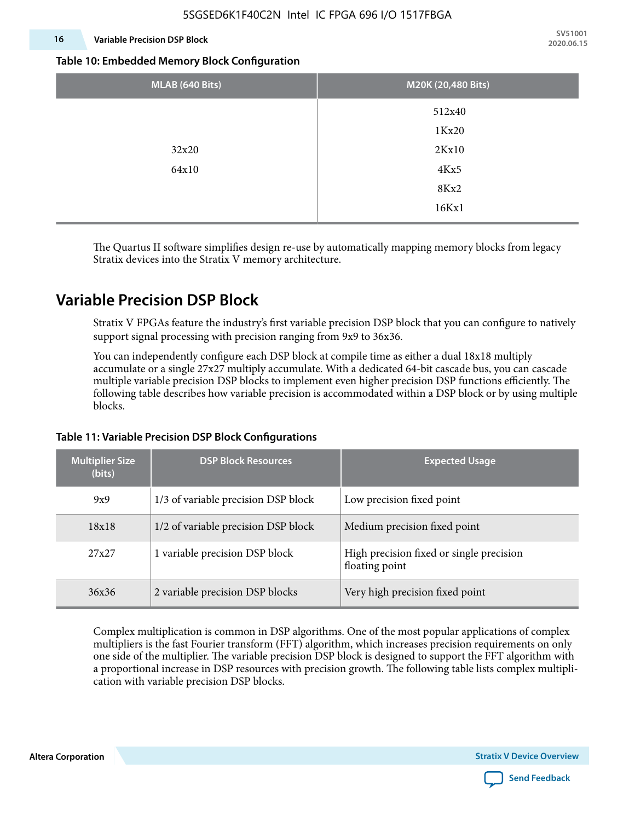#### **16 Variable Precision DSP Block**

**SV51001 2020.06.15**

#### **Table 10: Embedded Memory Block Configuration**

| MLAB (640 Bits) | M20K (20,480 Bits) |
|-----------------|--------------------|
|                 | 512x40             |
|                 | 1Kx20              |
| 32x20           | 2Kx10              |
| 64x10           | 4Kx5               |
|                 | 8Kx2               |
|                 | 16Kx1              |

The Quartus II software simplifies design re-use by automatically mapping memory blocks from legacy Stratix devices into the Stratix V memory architecture.

### **Variable Precision DSP Block**

Stratix V FPGAs feature the industry's first variable precision DSP block that you can configure to natively support signal processing with precision ranging from 9x9 to 36x36.

You can independently configure each DSP block at compile time as either a dual 18x18 multiply accumulate or a single 27x27 multiply accumulate. With a dedicated 64-bit cascade bus, you can cascade multiple variable precision DSP blocks to implement even higher precision DSP functions efficiently. The following table describes how variable precision is accommodated within a DSP block or by using multiple blocks.

# **Multiplier Size (bits) DSP Block Resources Expected Usage** 9x9 1/3 of variable precision DSP block Low precision fixed point  $18x18$  1/2 of variable precision DSP block 14 Medium precision fixed point 27x27 1 variable precision DSP block High precision fixed or single precision floating point 36x36 2 variable precision DSP blocks Very high precision fixed point

#### **Table 11: Variable Precision DSP Block Configurations**

Complex multiplication is common in DSP algorithms. One of the most popular applications of complex multipliers is the fast Fourier transform (FFT) algorithm, which increases precision requirements on only one side of the multiplier. The variable precision DSP block is designed to support the FFT algorithm with a proportional increase in DSP resources with precision growth. The following table lists complex multipli‐ cation with variable precision DSP blocks.

**Altera Corporation Stratix V Device Overview**

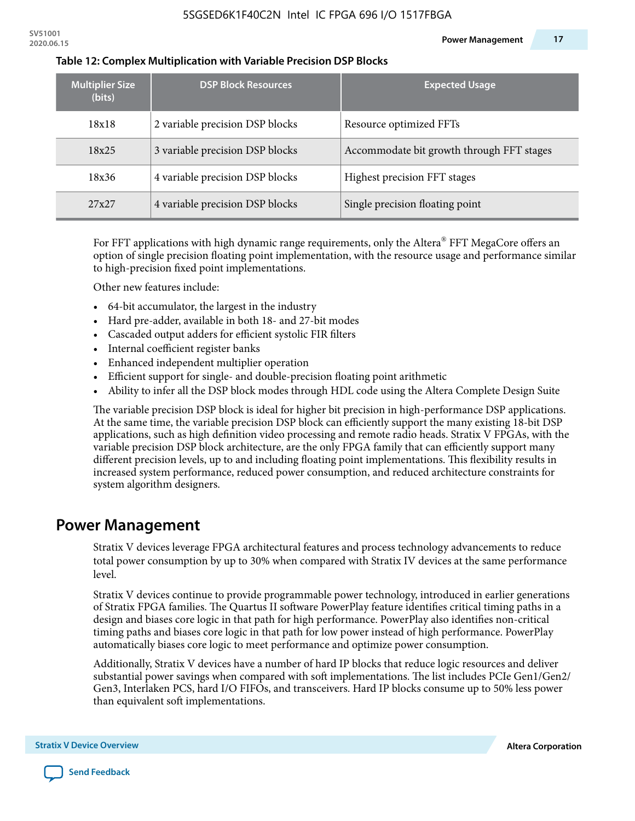| <b>Multiplier Size</b><br>(bits) | <b>DSP Block Resources</b>      | <b>Expected Usage</b>                     |
|----------------------------------|---------------------------------|-------------------------------------------|
| 18x18                            | 2 variable precision DSP blocks | Resource optimized FFTs                   |
| 18x25                            | 3 variable precision DSP blocks | Accommodate bit growth through FFT stages |
| 18x36                            | 4 variable precision DSP blocks | Highest precision FFT stages              |
| 27x27                            | 4 variable precision DSP blocks | Single precision floating point           |

#### **Table 12: Complex Multiplication with Variable Precision DSP Blocks**

For FFT applications with high dynamic range requirements, only the Altera $^\circ$  FFT MegaCore offers an option of single precision floating point implementation, with the resource usage and performance similar to high-precision fixed point implementations.

Other new features include:

- 64-bit accumulator, the largest in the industry
- Hard pre-adder, available in both 18- and 27-bit modes
- Cascaded output adders for efficient systolic FIR filters
- Internal coefficient register banks
- Enhanced independent multiplier operation
- Efficient support for single- and double-precision floating point arithmetic
- Ability to infer all the DSP block modes through HDL code using the Altera Complete Design Suite

The variable precision DSP block is ideal for higher bit precision in high-performance DSP applications. At the same time, the variable precision DSP block can efficiently support the many existing 18-bit DSP applications, such as high definition video processing and remote radio heads. Stratix V FPGAs, with the variable precision DSP block architecture, are the only FPGA family that can efficiently support many different precision levels, up to and including floating point implementations. This flexibility results in increased system performance, reduced power consumption, and reduced architecture constraints for system algorithm designers.

### **Power Management**

Stratix V devices leverage FPGA architectural features and process technology advancements to reduce total power consumption by up to 30% when compared with Stratix IV devices at the same performance level.

Stratix V devices continue to provide programmable power technology, introduced in earlier generations of Stratix FPGA families. The Quartus II software PowerPlay feature identifies critical timing paths in a design and biases core logic in that path for high performance. PowerPlay also identifies non-critical timing paths and biases core logic in that path for low power instead of high performance. PowerPlay automatically biases core logic to meet performance and optimize power consumption.

Additionally, Stratix V devices have a number of hard IP blocks that reduce logic resources and deliver substantial power savings when compared with soft implementations. The list includes PCIe Gen1/Gen2/ Gen3, Interlaken PCS, hard I/O FIFOs, and transceivers. Hard IP blocks consume up to 50% less power than equivalent soft implementations.

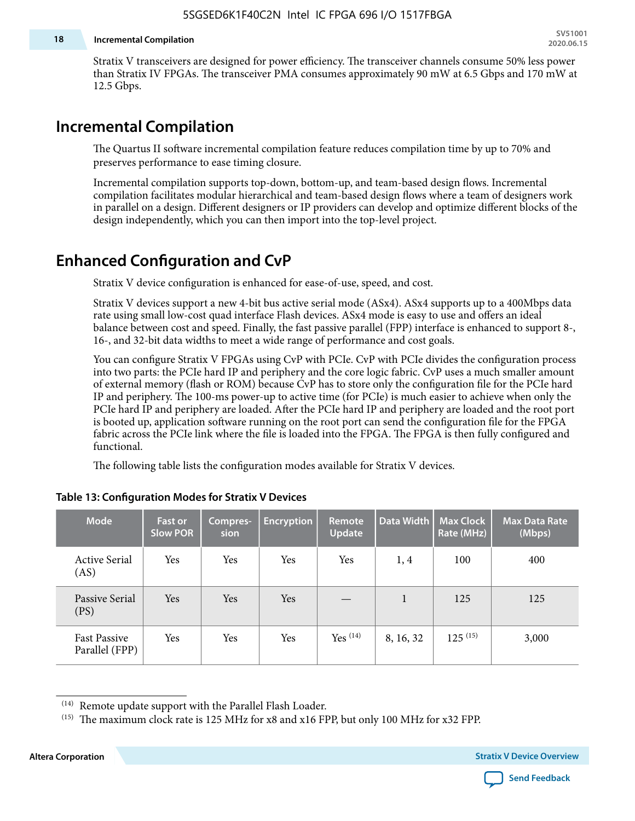#### **18 Incremental Compilation**

Stratix V transceivers are designed for power efficiency. The transceiver channels consume 50% less power than Stratix IV FPGAs. The transceiver PMA consumes approximately 90 mW at 6.5 Gbps and 170 mW at 12.5 Gbps.

### **Incremental Compilation**

The Quartus II software incremental compilation feature reduces compilation time by up to 70% and preserves performance to ease timing closure.

Incremental compilation supports top-down, bottom-up, and team-based design flows. Incremental compilation facilitates modular hierarchical and team-based design flows where a team of designers work in parallel on a design. Different designers or IP providers can develop and optimize different blocks of the design independently, which you can then import into the top-level project.

### **Enhanced Configuration and CvP**

Stratix V device configuration is enhanced for ease-of-use, speed, and cost.

Stratix V devices support a new 4-bit bus active serial mode (ASx4). ASx4 supports up to a 400Mbps data rate using small low-cost quad interface Flash devices. ASx4 mode is easy to use and offers an ideal balance between cost and speed. Finally, the fast passive parallel (FPP) interface is enhanced to support 8-, 16-, and 32-bit data widths to meet a wide range of performance and cost goals.

You can configure Stratix V FPGAs using CvP with PCIe. CvP with PCIe divides the configuration process into two parts: the PCIe hard IP and periphery and the core logic fabric. CvP uses a much smaller amount of external memory (flash or ROM) because CvP has to store only the configuration file for the PCIe hard IP and periphery. The 100-ms power-up to active time (for PCIe) is much easier to achieve when only the PCIe hard IP and periphery are loaded. After the PCIe hard IP and periphery are loaded and the root port is booted up, application software running on the root port can send the configuration file for the FPGA fabric across the PCIe link where the file is loaded into the FPGA. The FPGA is then fully configured and functional.

The following table lists the configuration modes available for Stratix V devices.

| <b>Mode</b>                           | <b>Fast or</b><br><b>Slow POR</b> | Compres-<br>sion | <b>Encryption</b> | <b>Remote</b><br><b>Update</b> | Data Width | <b>Max Clock</b><br>Rate (MHz) | <b>Max Data Rate</b><br>(Mbps) |
|---------------------------------------|-----------------------------------|------------------|-------------------|--------------------------------|------------|--------------------------------|--------------------------------|
| <b>Active Serial</b><br>(AS)          | Yes                               | Yes              | Yes               | Yes                            | 1,4        | 100                            | 400                            |
| Passive Serial<br>(PS)                | Yes                               | <b>Yes</b>       | Yes               |                                | 1          | 125                            | 125                            |
| <b>Fast Passive</b><br>Parallel (FPP) | Yes                               | Yes              | Yes               | Yes $(14)$                     | 8, 16, 32  | $125^{(15)}$                   | 3,000                          |

#### **Table 13: Configuration Modes for Stratix V Devices**

**Altera Corporation Stratix V Device Overview**



<sup>(14)</sup> Remote update support with the Parallel Flash Loader.

<sup>&</sup>lt;sup>(15)</sup> The maximum clock rate is 125 MHz for x8 and x16 FPP, but only 100 MHz for x32 FPP.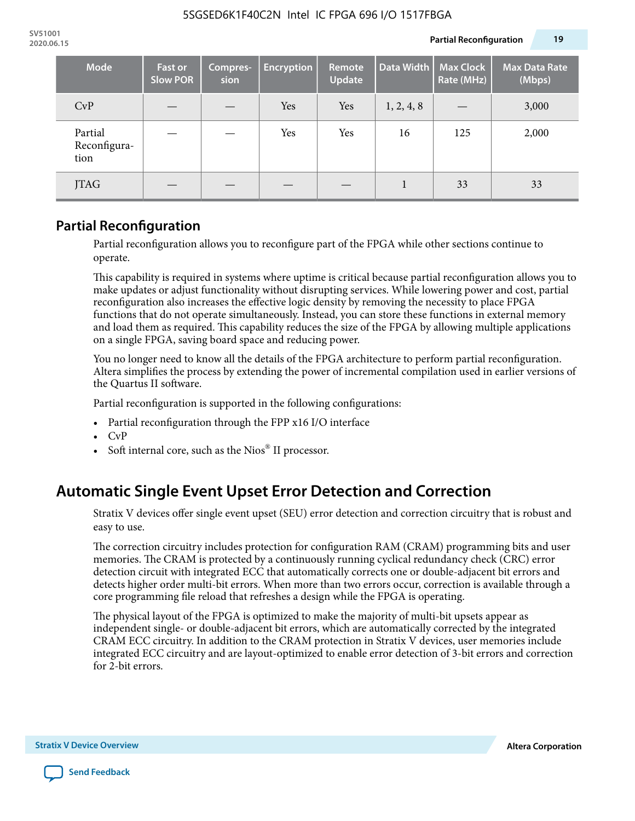| <b>Mode</b>                     | <b>Fast or</b><br><b>Slow POR</b> | Compres-<br>sion | <b>Encryption</b> | Remote<br>Update | Data Width | <b>Max Clock</b><br>Rate (MHz) | <b>Max Data Rate</b><br>(Mbps) |
|---------------------------------|-----------------------------------|------------------|-------------------|------------------|------------|--------------------------------|--------------------------------|
| CvP                             |                                   |                  | Yes               | Yes              | 1, 2, 4, 8 |                                | 3,000                          |
| Partial<br>Reconfigura-<br>tion |                                   |                  | Yes               | Yes              | 16         | 125                            | 2,000                          |
| <b>JTAG</b>                     |                                   |                  |                   |                  |            | 33                             | 33                             |

### **Partial Reconfiguration**

Partial reconfiguration allows you to reconfigure part of the FPGA while other sections continue to operate.

This capability is required in systems where uptime is critical because partial reconfiguration allows you to make updates or adjust functionality without disrupting services. While lowering power and cost, partial reconfiguration also increases the effective logic density by removing the necessity to place FPGA functions that do not operate simultaneously. Instead, you can store these functions in external memory and load them as required. This capability reduces the size of the FPGA by allowing multiple applications on a single FPGA, saving board space and reducing power.

You no longer need to know all the details of the FPGA architecture to perform partial reconfiguration. Altera simplifies the process by extending the power of incremental compilation used in earlier versions of the Quartus II software.

Partial reconfiguration is supported in the following configurations:

- Partial reconfiguration through the FPP x16 I/O interface
- CvP
- Soft internal core, such as the Nios® II processor.

### **Automatic Single Event Upset Error Detection and Correction**

Stratix V devices offer single event upset (SEU) error detection and correction circuitry that is robust and easy to use.

The correction circuitry includes protection for configuration RAM (CRAM) programming bits and user memories. The CRAM is protected by a continuously running cyclical redundancy check (CRC) error detection circuit with integrated ECC that automatically corrects one or double-adjacent bit errors and detects higher order multi-bit errors. When more than two errors occur, correction is available through a core programming file reload that refreshes a design while the FPGA is operating.

The physical layout of the FPGA is optimized to make the majority of multi-bit upsets appear as independent single- or double-adjacent bit errors, which are automatically corrected by the integrated CRAM ECC circuitry. In addition to the CRAM protection in Stratix V devices, user memories include integrated ECC circuitry and are layout-optimized to enable error detection of 3-bit errors and correction for 2-bit errors.

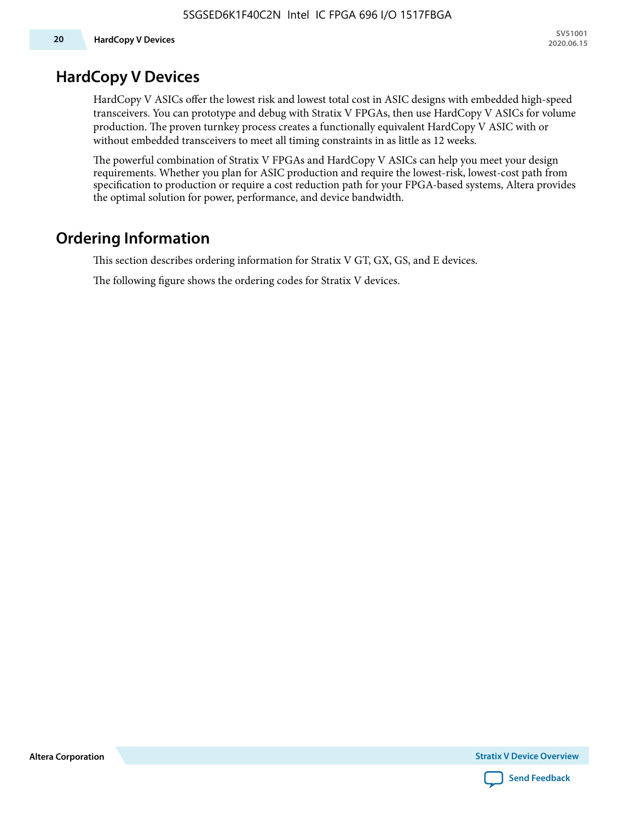### **HardCopy V Devices**

HardCopy V ASICs offer the lowest risk and lowest total cost in ASIC designs with embedded high-speed transceivers. You can prototype and debug with Stratix V FPGAs, then use HardCopy V ASICs for volume production. The proven turnkey process creates a functionally equivalent HardCopy V ASIC with or without embedded transceivers to meet all timing constraints in as little as 12 weeks.

The powerful combination of Stratix V FPGAs and HardCopy V ASICs can help you meet your design requirements. Whether you plan for ASIC production and require the lowest-risk, lowest-cost path from specification to production or require a cost reduction path for your FPGA-based systems, Altera provides the optimal solution for power, performance, and device bandwidth.

### **Ordering Information**

This section describes ordering information for Stratix V GT, GX, GS, and E devices.

The following figure shows the ordering codes for Stratix V devices.

**Altera Corporation** 

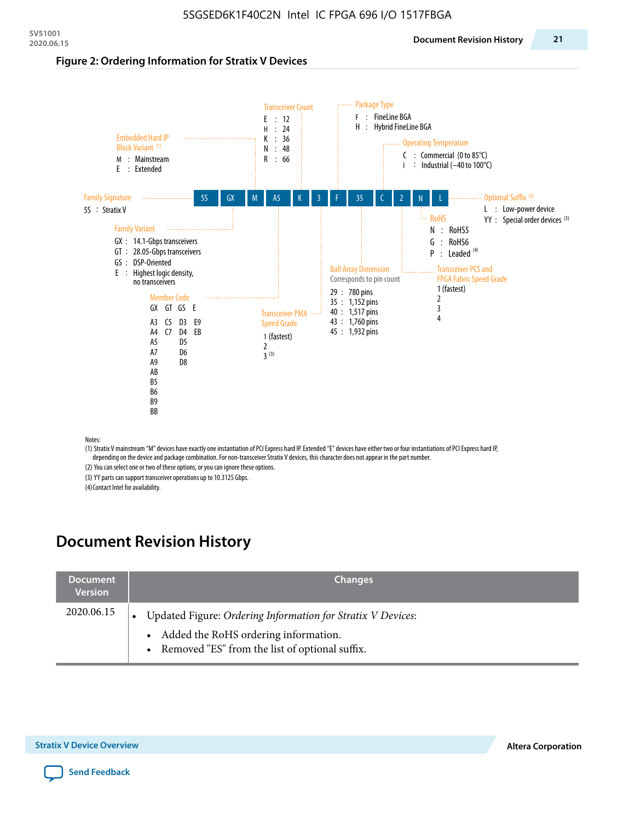#### **Figure 2: Ordering Information for Stratix V Devices**



(1) Stratix V mainstream "M" devices have exactly one instantiation of PCI Express hard IP. Extended "E" devices have either two or four instantiations of PCI Express hard IP, depending on the device and package combination. For non-transceiver Stratix V devices, this character does not appear in the part number.

(2) You can select one or two of these options, or you can ignore these options. (3) YY parts can support transceiver operations up to 10.3125 Gbps.

(4) Contact Intel for availability.

# **Document Revision History**

| <b>Document</b><br><b>Version</b> | <b>Changes</b>                                                                                                                                            |
|-----------------------------------|-----------------------------------------------------------------------------------------------------------------------------------------------------------|
| 2020.06.15                        | Updated Figure: Ordering Information for Stratix V Devices:<br>• Added the RoHS ordering information.<br>• Removed "ES" from the list of optional suffix. |

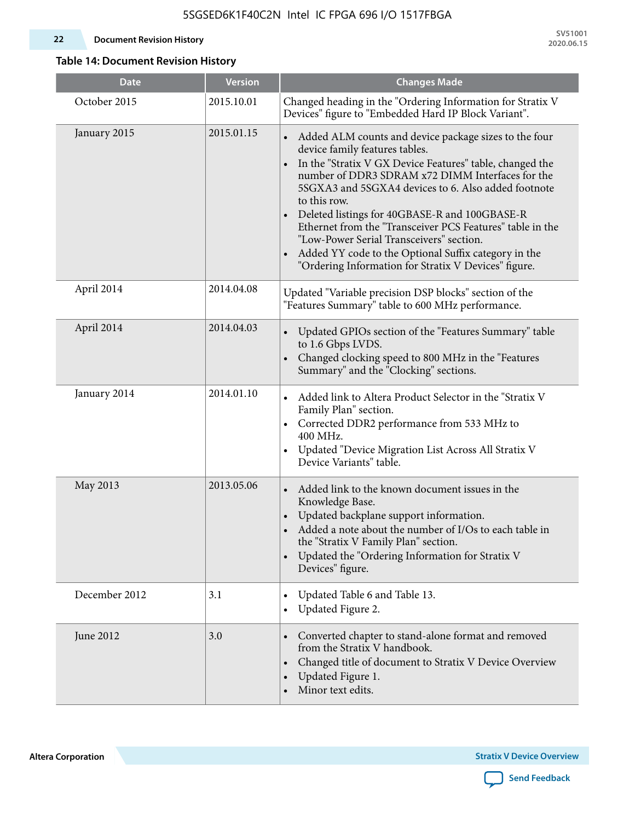#### **22 Document Revision History**

**SV51001 2020.06.15**

### **Table 14: Document Revision History**

| <b>Date</b>   | <b>Version</b> | <b>Changes Made</b>                                                                                                                                                                                                                                                                                                                                                                                                                                                                                                                                                                |
|---------------|----------------|------------------------------------------------------------------------------------------------------------------------------------------------------------------------------------------------------------------------------------------------------------------------------------------------------------------------------------------------------------------------------------------------------------------------------------------------------------------------------------------------------------------------------------------------------------------------------------|
| October 2015  | 2015.10.01     | Changed heading in the "Ordering Information for Stratix V<br>Devices" figure to "Embedded Hard IP Block Variant".                                                                                                                                                                                                                                                                                                                                                                                                                                                                 |
| January 2015  | 2015.01.15     | Added ALM counts and device package sizes to the four<br>device family features tables.<br>In the "Stratix V GX Device Features" table, changed the<br>$\bullet$<br>number of DDR3 SDRAM x72 DIMM Interfaces for the<br>5SGXA3 and 5SGXA4 devices to 6. Also added footnote<br>to this row.<br>Deleted listings for 40GBASE-R and 100GBASE-R<br>Ethernet from the "Transceiver PCS Features" table in the<br>"Low-Power Serial Transceivers" section.<br>Added YY code to the Optional Suffix category in the<br>$\bullet$<br>"Ordering Information for Stratix V Devices" figure. |
| April 2014    | 2014.04.08     | Updated "Variable precision DSP blocks" section of the<br>"Features Summary" table to 600 MHz performance.                                                                                                                                                                                                                                                                                                                                                                                                                                                                         |
| April 2014    | 2014.04.03     | Updated GPIOs section of the "Features Summary" table<br>to 1.6 Gbps LVDS.<br>Changed clocking speed to 800 MHz in the "Features<br>Summary" and the "Clocking" sections.                                                                                                                                                                                                                                                                                                                                                                                                          |
| January 2014  | 2014.01.10     | Added link to Altera Product Selector in the "Stratix V<br>Family Plan" section.<br>Corrected DDR2 performance from 533 MHz to<br>$\bullet$<br>400 MHz.<br>Updated "Device Migration List Across All Stratix V<br>Device Variants" table.                                                                                                                                                                                                                                                                                                                                          |
| May 2013      | 2013.05.06     | Added link to the known document issues in the<br>$\bullet$<br>Knowledge Base.<br>Updated backplane support information.<br>Added a note about the number of I/Os to each table in<br>the "Stratix V Family Plan" section.<br>Updated the "Ordering Information for Stratix V<br>$\bullet$<br>Devices" figure.                                                                                                                                                                                                                                                                     |
| December 2012 | 3.1            | Updated Table 6 and Table 13.<br>Updated Figure 2.<br>$\bullet$                                                                                                                                                                                                                                                                                                                                                                                                                                                                                                                    |
| June 2012     | 3.0            | Converted chapter to stand-alone format and removed<br>from the Stratix V handbook.<br>Changed title of document to Stratix V Device Overview<br>$\bullet$<br>Updated Figure 1.<br>$\bullet$<br>Minor text edits.                                                                                                                                                                                                                                                                                                                                                                  |

**Altera Corporation** 

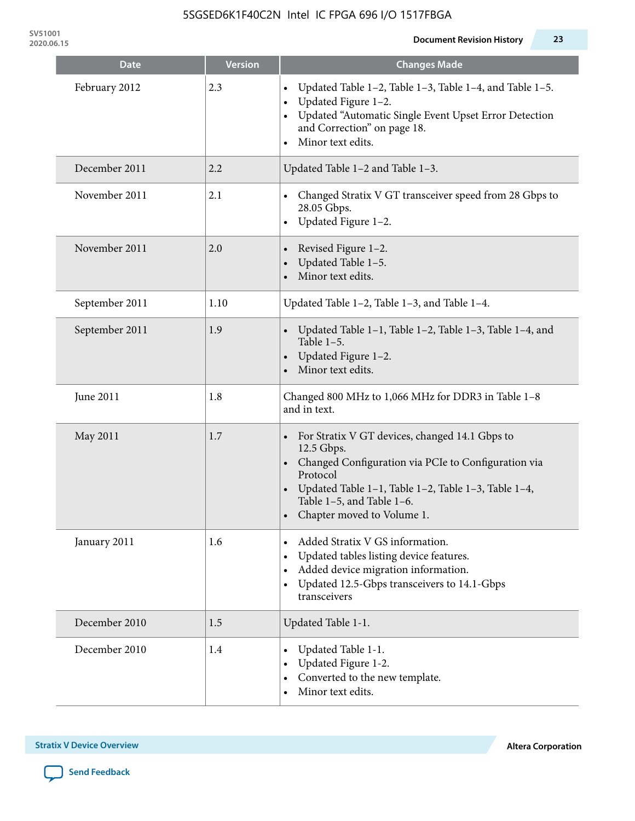**SV51001**

| <b>Date</b>    | <b>Version</b> | <b>Changes Made</b>                                                                                                                                                                                                                                 |
|----------------|----------------|-----------------------------------------------------------------------------------------------------------------------------------------------------------------------------------------------------------------------------------------------------|
| February 2012  | 2.3            | Updated Table 1-2, Table 1-3, Table 1-4, and Table 1-5.<br>Updated Figure 1-2.<br>$\bullet$<br>Updated "Automatic Single Event Upset Error Detection<br>and Correction" on page 18.<br>Minor text edits.                                            |
| December 2011  | 2.2            | Updated Table 1-2 and Table 1-3.                                                                                                                                                                                                                    |
| November 2011  | 2.1            | Changed Stratix V GT transceiver speed from 28 Gbps to<br>28.05 Gbps.<br>Updated Figure 1-2.<br>$\bullet$                                                                                                                                           |
| November 2011  | 2.0            | Revised Figure 1-2.<br>Updated Table 1-5.<br>Minor text edits.                                                                                                                                                                                      |
| September 2011 | 1.10           | Updated Table 1-2, Table 1-3, and Table 1-4.                                                                                                                                                                                                        |
| September 2011 | 1.9            | Updated Table 1–1, Table 1–2, Table 1–3, Table 1–4, and<br>Table $1-5$ .<br>Updated Figure 1-2.<br>Minor text edits.                                                                                                                                |
| June 2011      | 1.8            | Changed 800 MHz to 1,066 MHz for DDR3 in Table 1-8<br>and in text.                                                                                                                                                                                  |
| May 2011       | 1.7            | • For Stratix V GT devices, changed 14.1 Gbps to<br>12.5 Gbps.<br>Changed Configuration via PCIe to Configuration via<br>Protocol<br>Updated Table 1–1, Table 1–2, Table 1–3, Table 1–4,<br>Table 1-5, and Table 1-6.<br>Chapter moved to Volume 1. |
| January 2011   | 1.6            | Added Stratix V GS information.<br>Updated tables listing device features.<br>$\bullet$<br>Added device migration information.<br>$\bullet$<br>Updated 12.5-Gbps transceivers to 14.1-Gbps<br>transceivers                                          |
| December 2010  | 1.5            | Updated Table 1-1.                                                                                                                                                                                                                                  |
| December 2010  | 1.4            | Updated Table 1-1.<br>Updated Figure 1-2.<br>Converted to the new template.<br>Minor text edits.                                                                                                                                                    |

**Stratix V Device Overview Altera Corporation** 

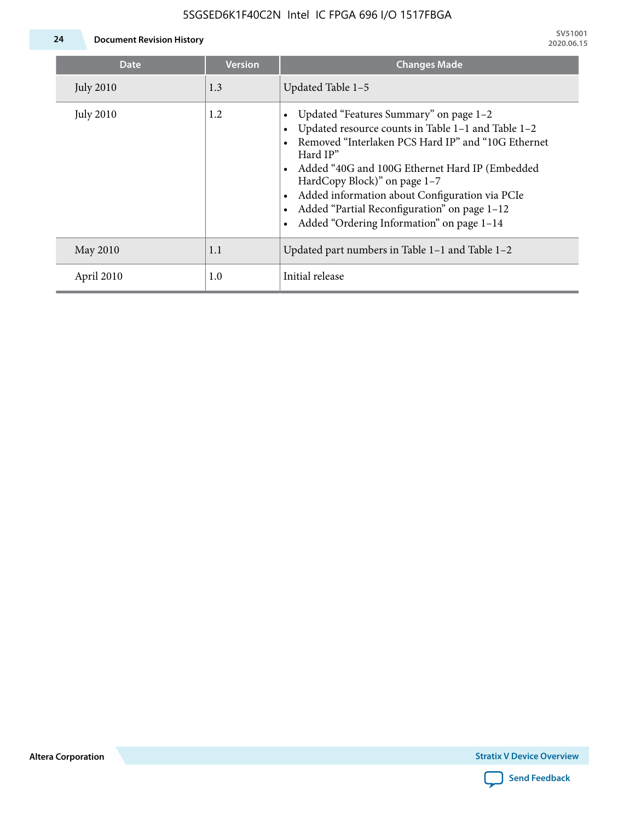### 5SGSED6K1F40C2N Intel IC FPGA 696 I/O 1517FBGA



**24 Document Revision History**

| <b>Date</b>      | <b>Version</b> | <b>Changes Made</b>                                                                                                                                                                                                                                                                                                                                                                             |
|------------------|----------------|-------------------------------------------------------------------------------------------------------------------------------------------------------------------------------------------------------------------------------------------------------------------------------------------------------------------------------------------------------------------------------------------------|
| <b>July 2010</b> | 1.3            | Updated Table 1-5                                                                                                                                                                                                                                                                                                                                                                               |
| <b>July 2010</b> | 1.2            | Updated "Features Summary" on page 1-2<br>Updated resource counts in Table 1-1 and Table 1-2<br>Removed "Interlaken PCS Hard IP" and "10G Ethernet<br>Hard IP"<br>Added "40G and 100G Ethernet Hard IP (Embedded<br>HardCopy Block)" on page 1-7<br>Added information about Configuration via PCIe<br>Added "Partial Reconfiguration" on page 1-12<br>Added "Ordering Information" on page 1-14 |
| May 2010         | 1.1            | Updated part numbers in Table $1-1$ and Table $1-2$                                                                                                                                                                                                                                                                                                                                             |
| April 2010       | 1.0            | Initial release                                                                                                                                                                                                                                                                                                                                                                                 |

**Altera Corporation**